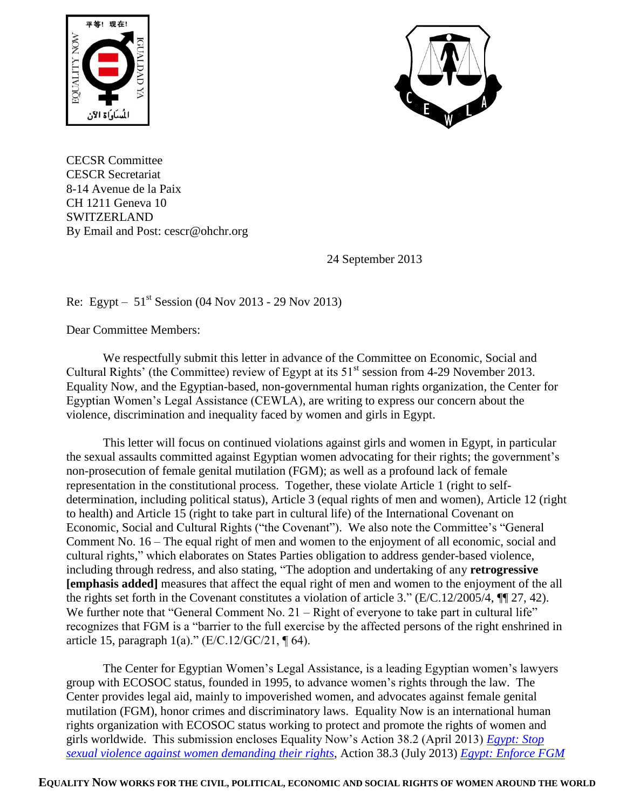



CECSR Committee CESCR Secretariat 8-14 Avenue de la Paix CH 1211 Geneva 10 SWITZERLAND By Email and Post: cescr@ohchr.org

24 September 2013

# Re: Egypt –  $51^{st}$  Session (04 Nov 2013 - 29 Nov 2013)

Dear Committee Members:

We respectfully submit this letter in advance of the Committee on Economic, Social and Cultural Rights' (the Committee) review of Egypt at its  $51<sup>st</sup>$  session from 4-29 November 2013. Equality Now, and the Egyptian-based, non-governmental human rights organization, the Center for Egyptian Women's Legal Assistance (CEWLA), are writing to express our concern about the violence, discrimination and inequality faced by women and girls in Egypt.

This letter will focus on continued violations against girls and women in Egypt, in particular the sexual assaults committed against Egyptian women advocating for their rights; the government's non-prosecution of female genital mutilation (FGM); as well as a profound lack of female representation in the constitutional process. Together, these violate Article 1 (right to selfdetermination, including political status), Article 3 (equal rights of men and women), Article 12 (right to health) and Article 15 (right to take part in cultural life) of the International Covenant on Economic, Social and Cultural Rights ("the Covenant"). We also note the Committee's "General Comment No. 16 – The equal right of men and women to the enjoyment of all economic, social and cultural rights," which elaborates on States Parties obligation to address gender-based violence, including through redress, and also stating, "The adoption and undertaking of any **retrogressive [emphasis added]** measures that affect the equal right of men and women to the enjoyment of the all the rights set forth in the Covenant constitutes a violation of article 3." (E/C.12/2005/4, ¶¶ 27, 42). We further note that "General Comment No. 21 – Right of everyone to take part in cultural life" recognizes that FGM is a "barrier to the full exercise by the affected persons of the right enshrined in article 15, paragraph  $1(a)$ ." (E/C.12/GC/21, ¶ 64).

The Center for Egyptian Women's Legal Assistance, is a leading Egyptian women's lawyers group with ECOSOC status, founded in 1995, to advance women's rights through the law. The Center provides legal aid, mainly to impoverished women, and advocates against female genital mutilation (FGM), honor crimes and discriminatory laws. Equality Now is an international human rights organization with ECOSOC status working to protect and promote the rights of women and girls worldwide. This submission encloses Equality Now's Action 38.2 (April 2013) *[Egypt: Stop](http://www.equalitynow.org/take_action/discrimination_in_law_action382)  [sexual violence against women demanding](http://www.equalitynow.org/take_action/discrimination_in_law_action382) their rights*, Action 38.3 (July 2013) *[Egypt: Enforce FGM](http://www.equalitynow.org/take_action/fgm_action383)*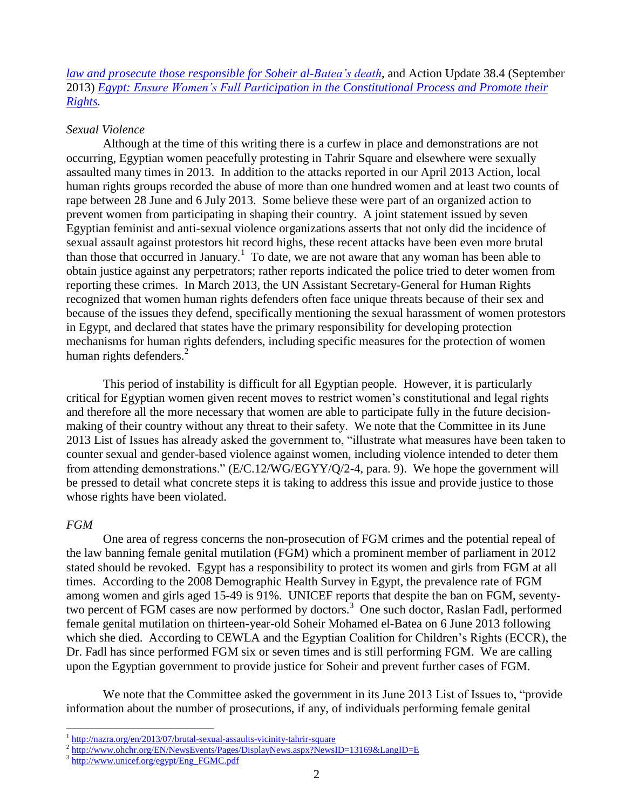*law and prosecute those responsible for Soheir al-Batea's death*, and Action Update 38.4 (September 2013) *Egypt: [Ensure Women's Full Participation in the Constitutional Process and Promote their](http://www.equalitynow.org/take_action/discrimination_in_law_action384)  [Rights.](http://www.equalitynow.org/take_action/discrimination_in_law_action384)*

### *Sexual Violence*

Although at the time of this writing there is a curfew in place and demonstrations are not occurring, Egyptian women peacefully protesting in Tahrir Square and elsewhere were sexually assaulted many times in 2013. In addition to the attacks reported in our April 2013 Action, local human rights groups recorded the abuse of more than one hundred women and at least two counts of rape between 28 June and 6 July 2013. Some believe these were part of an organized action to prevent women from participating in shaping their country. A joint statement issued by seven Egyptian feminist and anti-sexual violence organizations asserts that not only did the incidence of sexual assault against protestors hit record highs, these recent attacks have been even more brutal than those that occurred in January.<sup>1</sup> To date, we are not aware that any woman has been able to obtain justice against any perpetrators; rather reports indicated the police tried to deter women from reporting these crimes. In March 2013, the UN Assistant Secretary-General for Human Rights recognized that women human rights defenders often face unique threats because of their sex and because of the issues they defend, specifically mentioning the sexual harassment of women protestors in Egypt, and declared that states have the primary responsibility for developing protection mechanisms for human rights defenders, including specific measures for the protection of women human rights defenders. $2^{\degree}$ 

This period of instability is difficult for all Egyptian people. However, it is particularly critical for Egyptian women given recent moves to restrict women's constitutional and legal rights and therefore all the more necessary that women are able to participate fully in the future decisionmaking of their country without any threat to their safety. We note that the Committee in its June 2013 List of Issues has already asked the government to, "illustrate what measures have been taken to counter sexual and gender-based violence against women, including violence intended to deter them from attending demonstrations." (E/C.12/WG/EGYY/Q/2-4, para. 9). We hope the government will be pressed to detail what concrete steps it is taking to address this issue and provide justice to those whose rights have been violated.

### *FGM*

 $\overline{a}$ 

One area of regress concerns the non-prosecution of FGM crimes and the potential repeal of the law banning female genital mutilation (FGM) which a prominent member of parliament in 2012 stated should be revoked. Egypt has a responsibility to protect its women and girls from FGM at all times. According to the 2008 Demographic Health Survey in Egypt, the prevalence rate of FGM among women and girls aged 15-49 is 91%. UNICEF reports that despite the ban on FGM, seventytwo percent of FGM cases are now performed by doctors.<sup>3</sup> One such doctor, Raslan Fadl, performed female genital mutilation on thirteen-year-old Soheir Mohamed el-Batea on 6 June 2013 following which she died. According to CEWLA and the Egyptian Coalition for Children's Rights (ECCR), the Dr. Fadl has since performed FGM six or seven times and is still performing FGM. We are calling upon the Egyptian government to provide justice for Soheir and prevent further cases of FGM.

We note that the Committee asked the government in its June 2013 List of Issues to, "provide" information about the number of prosecutions, if any, of individuals performing female genital

<sup>&</sup>lt;sup>1</sup> <http://nazra.org/en/2013/07/brutal-sexual-assaults-vicinity-tahrir-square>

<sup>&</sup>lt;sup>2</sup> <http://www.ohchr.org/EN/NewsEvents/Pages/DisplayNews.aspx?NewsID=13169&LangID=E>

<sup>3</sup> [http://www.unicef.org/egypt/Eng\\_FGMC.pdf](http://www.unicef.org/egypt/Eng_FGMC.pdf)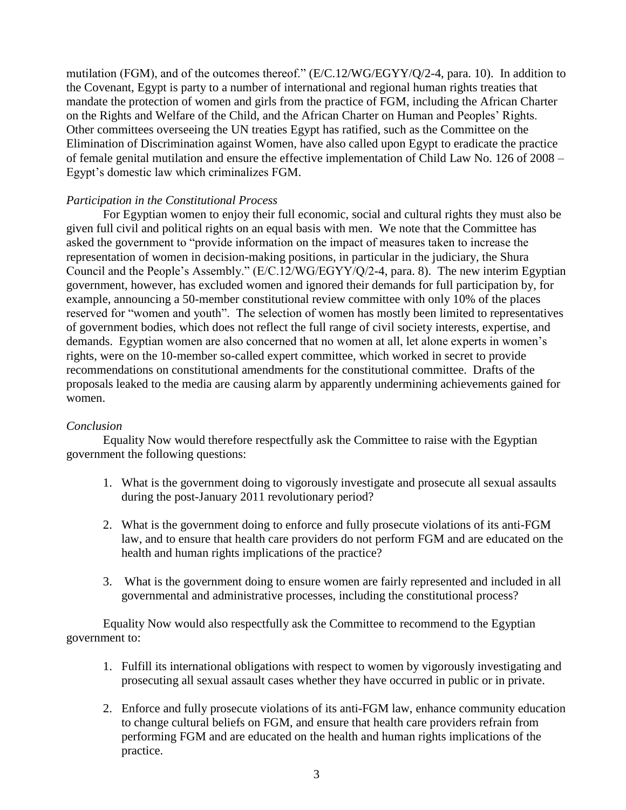mutilation (FGM), and of the outcomes thereof." (E/C.12/WG/EGYY/Q/2-4, para. 10). In addition to the Covenant, Egypt is party to a number of international and regional human rights treaties that mandate the protection of women and girls from the practice of FGM, including the African Charter on the Rights and Welfare of the Child, and the African Charter on Human and Peoples' Rights. Other committees overseeing the UN treaties Egypt has ratified, such as the Committee on the Elimination of Discrimination against Women, have also called upon Egypt to eradicate the practice of female genital mutilation and ensure the effective implementation of Child Law No. 126 of 2008 – Egypt's domestic law which criminalizes FGM.

## *Participation in the Constitutional Process*

For Egyptian women to enjoy their full economic, social and cultural rights they must also be given full civil and political rights on an equal basis with men. We note that the Committee has asked the government to "provide information on the impact of measures taken to increase the representation of women in decision-making positions, in particular in the judiciary, the Shura Council and the People's Assembly." (E/C.12/WG/EGYY/Q/2-4, para. 8). The new interim Egyptian government, however, has excluded women and ignored their demands for full participation by, for example, announcing a 50-member constitutional review committee with only 10% of the places reserved for "women and youth". The selection of women has mostly been limited to representatives of government bodies, which does not reflect the full range of civil society interests, expertise, and demands. Egyptian women are also concerned that no women at all, let alone experts in women's rights, were on the 10-member so-called expert committee, which worked in secret to provide recommendations on constitutional amendments for the constitutional committee. Drafts of the proposals leaked to the media are causing alarm by apparently undermining achievements gained for women.

### *Conclusion*

Equality Now would therefore respectfully ask the Committee to raise with the Egyptian government the following questions:

- 1. What is the government doing to vigorously investigate and prosecute all sexual assaults during the post-January 2011 revolutionary period?
- 2. What is the government doing to enforce and fully prosecute violations of its anti-FGM law, and to ensure that health care providers do not perform FGM and are educated on the health and human rights implications of the practice?
- 3. What is the government doing to ensure women are fairly represented and included in all governmental and administrative processes, including the constitutional process?

Equality Now would also respectfully ask the Committee to recommend to the Egyptian government to:

- 1. Fulfill its international obligations with respect to women by vigorously investigating and prosecuting all sexual assault cases whether they have occurred in public or in private.
- 2. Enforce and fully prosecute violations of its anti-FGM law, enhance community education to change cultural beliefs on FGM, and ensure that health care providers refrain from performing FGM and are educated on the health and human rights implications of the practice.